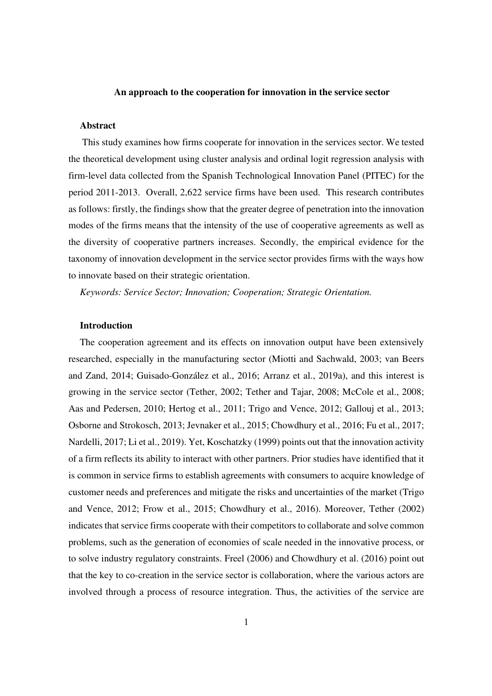#### **An approach to the cooperation for innovation in the service sector**

### **Abstract**

 This study examines how firms cooperate for innovation in the services sector. We tested the theoretical development using cluster analysis and ordinal logit regression analysis with firm-level data collected from the Spanish Technological Innovation Panel (PITEC) for the period 2011-2013. Overall, 2,622 service firms have been used. This research contributes as follows: firstly, the findings show that the greater degree of penetration into the innovation modes of the firms means that the intensity of the use of cooperative agreements as well as the diversity of cooperative partners increases. Secondly, the empirical evidence for the taxonomy of innovation development in the service sector provides firms with the ways how to innovate based on their strategic orientation.

*Keywords: Service Sector; Innovation; Cooperation; Strategic Orientation.* 

### **Introduction**

The cooperation agreement and its effects on innovation output have been extensively researched, especially in the manufacturing sector (Miotti and Sachwald, 2003; van Beers and Zand, 2014; Guisado-González et al., 2016; Arranz et al., 2019a), and this interest is growing in the service sector (Tether, 2002; Tether and Tajar, 2008; McCole et al., 2008; Aas and Pedersen, 2010; Hertog et al., 2011; Trigo and Vence, 2012; Gallouj et al., 2013; Osborne and Strokosch, 2013; Jevnaker et al., 2015; Chowdhury et al., 2016; Fu et al., 2017; Nardelli, 2017; Li et al., 2019). Yet, Koschatzky (1999) points out that the innovation activity of a firm reflects its ability to interact with other partners. Prior studies have identified that it is common in service firms to establish agreements with consumers to acquire knowledge of customer needs and preferences and mitigate the risks and uncertainties of the market (Trigo and Vence, 2012; Frow et al., 2015; Chowdhury et al., 2016). Moreover, Tether (2002) indicates that service firms cooperate with their competitors to collaborate and solve common problems, such as the generation of economies of scale needed in the innovative process, or to solve industry regulatory constraints. Freel (2006) and Chowdhury et al. (2016) point out that the key to co-creation in the service sector is collaboration, where the various actors are involved through a process of resource integration. Thus, the activities of the service are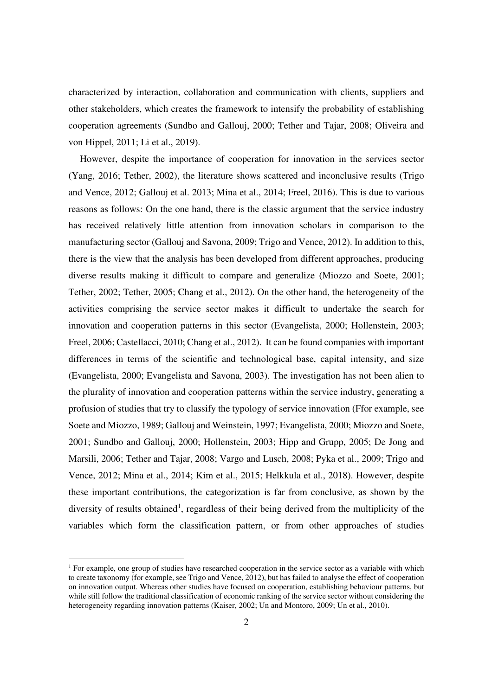characterized by interaction, collaboration and communication with clients, suppliers and other stakeholders, which creates the framework to intensify the probability of establishing cooperation agreements (Sundbo and Gallouj, 2000; Tether and Tajar, 2008; Oliveira and von Hippel, 2011; Li et al., 2019).

However, despite the importance of cooperation for innovation in the services sector (Yang, 2016; Tether, 2002), the literature shows scattered and inconclusive results (Trigo and Vence, 2012; Gallouj et al. 2013; Mina et al., 2014; Freel, 2016). This is due to various reasons as follows: On the one hand, there is the classic argument that the service industry has received relatively little attention from innovation scholars in comparison to the manufacturing sector (Gallouj and Savona, 2009; Trigo and Vence, 2012). In addition to this, there is the view that the analysis has been developed from different approaches, producing diverse results making it difficult to compare and generalize (Miozzo and Soete, 2001; Tether, 2002; Tether, 2005; Chang et al., 2012). On the other hand, the heterogeneity of the activities comprising the service sector makes it difficult to undertake the search for innovation and cooperation patterns in this sector (Evangelista, 2000; Hollenstein, 2003; Freel, 2006; Castellacci, 2010; Chang et al., 2012). It can be found companies with important differences in terms of the scientific and technological base, capital intensity, and size (Evangelista, 2000; Evangelista and Savona, 2003). The investigation has not been alien to the plurality of innovation and cooperation patterns within the service industry, generating a profusion of studies that try to classify the typology of service innovation (Ffor example, see Soete and Miozzo, 1989; Gallouj and Weinstein, 1997; Evangelista, 2000; Miozzo and Soete, 2001; Sundbo and Gallouj, 2000; Hollenstein, 2003; Hipp and Grupp, 2005; De Jong and Marsili, 2006; Tether and Tajar, 2008; Vargo and Lusch, 2008; Pyka et al., 2009; Trigo and Vence, 2012; Mina et al., 2014; Kim et al., 2015; Helkkula et al., 2018). However, despite these important contributions, the categorization is far from conclusive, as shown by the diversity of results obtained<sup>1</sup>, regardless of their being derived from the multiplicity of the variables which form the classification pattern, or from other approaches of studies

<sup>&</sup>lt;sup>1</sup> For example, one group of studies have researched cooperation in the service sector as a variable with which to create taxonomy (for example, see Trigo and Vence, 2012), but has failed to analyse the effect of cooperation on innovation output. Whereas other studies have focused on cooperation, establishing behaviour patterns, but while still follow the traditional classification of economic ranking of the service sector without considering the heterogeneity regarding innovation patterns (Kaiser, 2002; Un and Montoro, 2009; Un et al., 2010).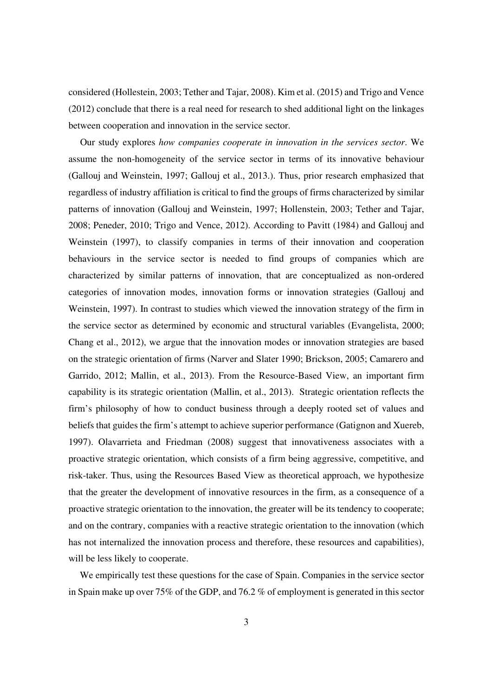considered (Hollestein, 2003; Tether and Tajar, 2008). Kim et al. (2015) and Trigo and Vence (2012) conclude that there is a real need for research to shed additional light on the linkages between cooperation and innovation in the service sector.

Our study explores *how companies cooperate in innovation in the services sector*. We assume the non-homogeneity of the service sector in terms of its innovative behaviour (Gallouj and Weinstein, 1997; Gallouj et al., 2013.). Thus, prior research emphasized that regardless of industry affiliation is critical to find the groups of firms characterized by similar patterns of innovation (Gallouj and Weinstein, 1997; Hollenstein, 2003; Tether and Tajar, 2008; Peneder, 2010; Trigo and Vence, 2012). According to Pavitt (1984) and Gallouj and Weinstein (1997), to classify companies in terms of their innovation and cooperation behaviours in the service sector is needed to find groups of companies which are characterized by similar patterns of innovation, that are conceptualized as non-ordered categories of innovation modes, innovation forms or innovation strategies (Gallouj and Weinstein, 1997). In contrast to studies which viewed the innovation strategy of the firm in the service sector as determined by economic and structural variables (Evangelista, 2000; Chang et al., 2012), we argue that the innovation modes or innovation strategies are based on the strategic orientation of firms (Narver and Slater 1990; Brickson, 2005; Camarero and Garrido, 2012; Mallin, et al., 2013). From the Resource-Based View, an important firm capability is its strategic orientation (Mallin, et al., 2013). Strategic orientation reflects the firm's philosophy of how to conduct business through a deeply rooted set of values and beliefs that guides the firm's attempt to achieve superior performance (Gatignon and Xuereb, 1997). Olavarrieta and Friedman (2008) suggest that innovativeness associates with a proactive strategic orientation, which consists of a firm being aggressive, competitive, and risk-taker. Thus, using the Resources Based View as theoretical approach, we hypothesize that the greater the development of innovative resources in the firm, as a consequence of a proactive strategic orientation to the innovation, the greater will be its tendency to cooperate; and on the contrary, companies with a reactive strategic orientation to the innovation (which has not internalized the innovation process and therefore, these resources and capabilities), will be less likely to cooperate.

We empirically test these questions for the case of Spain. Companies in the service sector in Spain make up over 75% of the GDP, and 76.2 % of employment is generated in this sector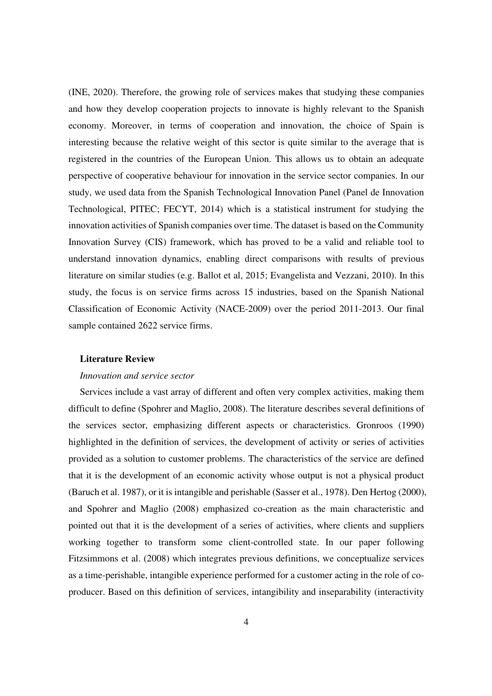(INE, 2020). Therefore, the growing role of services makes that studying these companies and how they develop cooperation projects to innovate is highly relevant to the Spanish economy. Moreover, in terms of cooperation and innovation, the choice of Spain is interesting because the relative weight of this sector is quite similar to the average that is registered in the countries of the European Union. This allows us to obtain an adequate perspective of cooperative behaviour for innovation in the service sector companies. In our study, we used data from the Spanish Technological Innovation Panel (Panel de Innovation Technological, PITEC; FECYT, 2014) which is a statistical instrument for studying the innovation activities of Spanish companies over time. The dataset is based on the Community Innovation Survey (CIS) framework, which has proved to be a valid and reliable tool to understand innovation dynamics, enabling direct comparisons with results of previous literature on similar studies (e.g. Ballot et al, 2015; Evangelista and Vezzani, 2010). In this study, the focus is on service firms across 15 industries, based on the Spanish National Classification of Economic Activity (NACE-2009) over the period 2011-2013. Our final sample contained 2622 service firms.

### **Literature Review**

## *Innovation and service sector*

Services include a vast array of different and often very complex activities, making them difficult to define (Spohrer and Maglio, 2008). The literature describes several definitions of the services sector, emphasizing different aspects or characteristics. Gronroos (1990) highlighted in the definition of services, the development of activity or series of activities provided as a solution to customer problems. The characteristics of the service are defined that it is the development of an economic activity whose output is not a physical product (Baruch et al. 1987), or it is intangible and perishable (Sasser et al., 1978). Den Hertog (2000), and Spohrer and Maglio (2008) emphasized co-creation as the main characteristic and pointed out that it is the development of a series of activities, where clients and suppliers working together to transform some client-controlled state. In our paper following Fitzsimmons et al. (2008) which integrates previous definitions, we conceptualize services as a time-perishable, intangible experience performed for a customer acting in the role of coproducer. Based on this definition of services, intangibility and inseparability (interactivity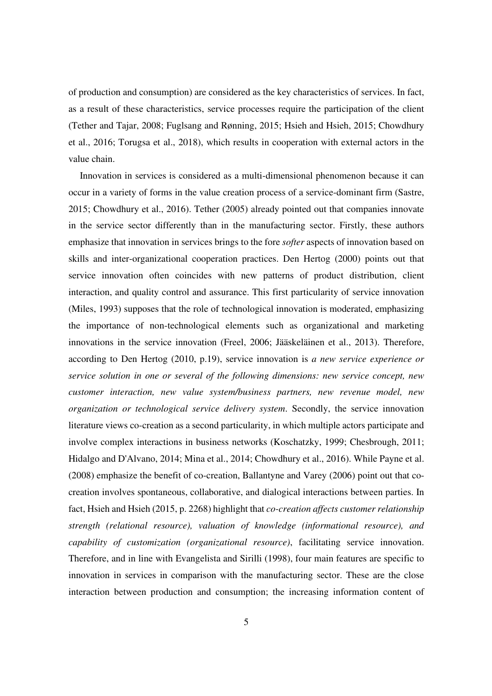of production and consumption) are considered as the key characteristics of services. In fact, as a result of these characteristics, service processes require the participation of the client (Tether and Tajar, 2008; Fuglsang and Rønning, 2015; Hsieh and Hsieh, 2015; Chowdhury et al., 2016; Torugsa et al., 2018), which results in cooperation with external actors in the value chain.

Innovation in services is considered as a multi-dimensional phenomenon because it can occur in a variety of forms in the value creation process of a service-dominant firm (Sastre, 2015; Chowdhury et al., 2016). Tether (2005) already pointed out that companies innovate in the service sector differently than in the manufacturing sector. Firstly, these authors emphasize that innovation in services brings to the fore *softer* aspects of innovation based on skills and inter-organizational cooperation practices. Den Hertog (2000) points out that service innovation often coincides with new patterns of product distribution, client interaction, and quality control and assurance. This first particularity of service innovation (Miles, 1993) supposes that the role of technological innovation is moderated, emphasizing the importance of non-technological elements such as organizational and marketing innovations in the service innovation (Freel, 2006; Jääskeläinen et al., 2013). Therefore, according to Den Hertog (2010, p.19), service innovation is *a new service experience or service solution in one or several of the following dimensions: new service concept, new customer interaction, new value system/business partners, new revenue model, new organization or technological service delivery system*. Secondly, the service innovation literature views co-creation as a second particularity, in which multiple actors participate and involve complex interactions in business networks (Koschatzky, 1999; Chesbrough, 2011; Hidalgo and D'Alvano, 2014; Mina et al., 2014; Chowdhury et al., 2016). While Payne et al. (2008) emphasize the benefit of co-creation, Ballantyne and Varey (2006) point out that cocreation involves spontaneous, collaborative, and dialogical interactions between parties. In fact, Hsieh and Hsieh (2015, p. 2268) highlight that *co-creation affects customer relationship strength (relational resource), valuation of knowledge (informational resource), and capability of customization (organizational resource)*, facilitating service innovation. Therefore, and in line with Evangelista and Sirilli (1998), four main features are specific to innovation in services in comparison with the manufacturing sector. These are the close interaction between production and consumption; the increasing information content of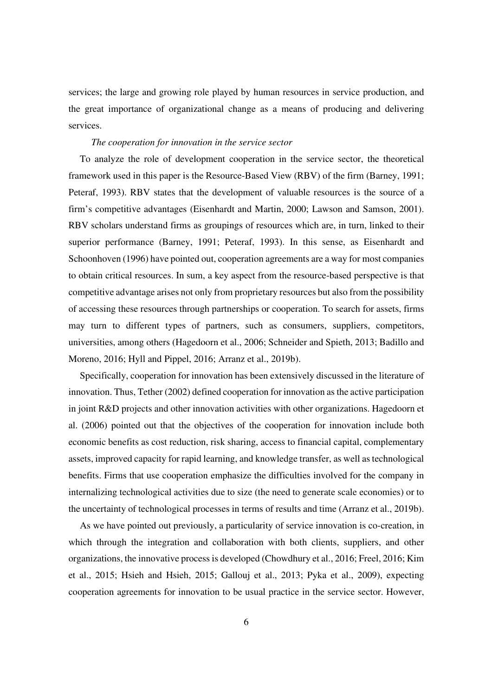services; the large and growing role played by human resources in service production, and the great importance of organizational change as a means of producing and delivering services.

## *The cooperation for innovation in the service sector*

To analyze the role of development cooperation in the service sector, the theoretical framework used in this paper is the Resource-Based View (RBV) of the firm (Barney, 1991; Peteraf, 1993). RBV states that the development of valuable resources is the source of a firm's competitive advantages (Eisenhardt and Martin, 2000; Lawson and Samson, 2001). RBV scholars understand firms as groupings of resources which are, in turn, linked to their superior performance (Barney, 1991; Peteraf, 1993). In this sense, as Eisenhardt and Schoonhoven (1996) have pointed out, cooperation agreements are a way for most companies to obtain critical resources. In sum, a key aspect from the resource-based perspective is that competitive advantage arises not only from proprietary resources but also from the possibility of accessing these resources through partnerships or cooperation. To search for assets, firms may turn to different types of partners, such as consumers, suppliers, competitors, universities, among others (Hagedoorn et al., 2006; Schneider and Spieth, 2013; Badillo and Moreno, 2016; Hyll and Pippel, 2016; Arranz et al., 2019b).

Specifically, cooperation for innovation has been extensively discussed in the literature of innovation. Thus, Tether (2002) defined cooperation for innovation as the active participation in joint R&D projects and other innovation activities with other organizations. Hagedoorn et al. (2006) pointed out that the objectives of the cooperation for innovation include both economic benefits as cost reduction, risk sharing, access to financial capital, complementary assets, improved capacity for rapid learning, and knowledge transfer, as well as technological benefits. Firms that use cooperation emphasize the difficulties involved for the company in internalizing technological activities due to size (the need to generate scale economies) or to the uncertainty of technological processes in terms of results and time (Arranz et al., 2019b).

As we have pointed out previously, a particularity of service innovation is co-creation, in which through the integration and collaboration with both clients, suppliers, and other organizations, the innovative process is developed (Chowdhury et al., 2016; Freel, 2016; Kim et al., 2015; Hsieh and Hsieh, 2015; Gallouj et al., 2013; Pyka et al., 2009), expecting cooperation agreements for innovation to be usual practice in the service sector. However,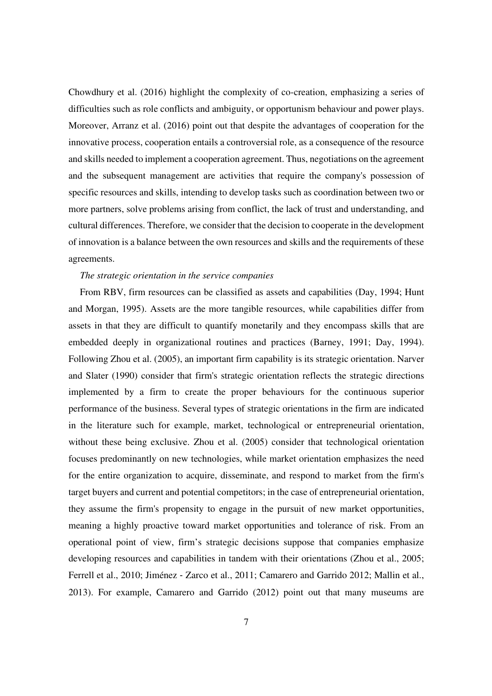Chowdhury et al. (2016) highlight the complexity of co-creation, emphasizing a series of difficulties such as role conflicts and ambiguity, or opportunism behaviour and power plays. Moreover, Arranz et al. (2016) point out that despite the advantages of cooperation for the innovative process, cooperation entails a controversial role, as a consequence of the resource and skills needed to implement a cooperation agreement. Thus, negotiations on the agreement and the subsequent management are activities that require the company's possession of specific resources and skills, intending to develop tasks such as coordination between two or more partners, solve problems arising from conflict, the lack of trust and understanding, and cultural differences. Therefore, we consider that the decision to cooperate in the development of innovation is a balance between the own resources and skills and the requirements of these agreements.

## *The strategic orientation in the service companies*

From RBV, firm resources can be classified as assets and capabilities (Day, 1994; Hunt and Morgan, 1995). Assets are the more tangible resources, while capabilities differ from assets in that they are difficult to quantify monetarily and they encompass skills that are embedded deeply in organizational routines and practices (Barney, 1991; Day, 1994). Following Zhou et al. (2005), an important firm capability is its strategic orientation. Narver and Slater (1990) consider that firm's strategic orientation reflects the strategic directions implemented by a firm to create the proper behaviours for the continuous superior performance of the business. Several types of strategic orientations in the firm are indicated in the literature such for example, market, technological or entrepreneurial orientation, without these being exclusive. Zhou et al. (2005) consider that technological orientation focuses predominantly on new technologies, while market orientation emphasizes the need for the entire organization to acquire, disseminate, and respond to market from the firm's target buyers and current and potential competitors; in the case of entrepreneurial orientation, they assume the firm's propensity to engage in the pursuit of new market opportunities, meaning a highly proactive toward market opportunities and tolerance of risk. From an operational point of view, firm's strategic decisions suppose that companies emphasize developing resources and capabilities in tandem with their orientations (Zhou et al., 2005; Ferrell et al., 2010; Jiménez ‐ Zarco et al., 2011; Camarero and Garrido 2012; Mallin et al., 2013). For example, Camarero and Garrido (2012) point out that many museums are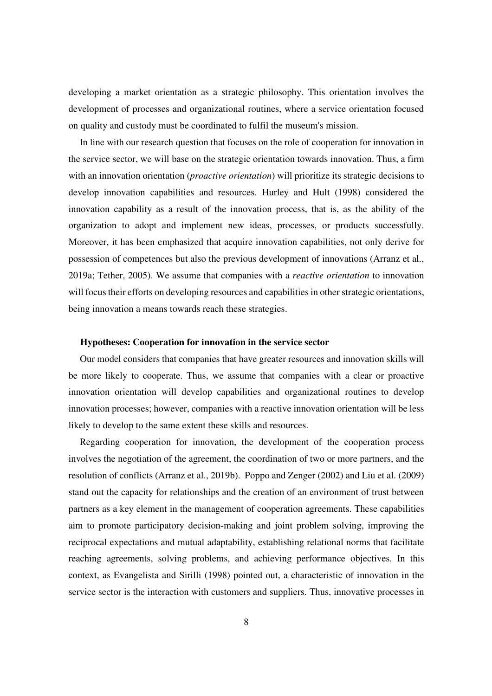developing a market orientation as a strategic philosophy. This orientation involves the development of processes and organizational routines, where a service orientation focused on quality and custody must be coordinated to fulfil the museum's mission.

In line with our research question that focuses on the role of cooperation for innovation in the service sector, we will base on the strategic orientation towards innovation. Thus, a firm with an innovation orientation (*proactive orientation*) will prioritize its strategic decisions to develop innovation capabilities and resources. Hurley and Hult (1998) considered the innovation capability as a result of the innovation process, that is, as the ability of the organization to adopt and implement new ideas, processes, or products successfully. Moreover, it has been emphasized that acquire innovation capabilities, not only derive for possession of competences but also the previous development of innovations (Arranz et al., 2019a; Tether, 2005). We assume that companies with a *reactive orientation* to innovation will focus their efforts on developing resources and capabilities in other strategic orientations, being innovation a means towards reach these strategies.

## **Hypotheses: Cooperation for innovation in the service sector**

Our model considers that companies that have greater resources and innovation skills will be more likely to cooperate. Thus, we assume that companies with a clear or proactive innovation orientation will develop capabilities and organizational routines to develop innovation processes; however, companies with a reactive innovation orientation will be less likely to develop to the same extent these skills and resources.

Regarding cooperation for innovation, the development of the cooperation process involves the negotiation of the agreement, the coordination of two or more partners, and the resolution of conflicts (Arranz et al., 2019b). Poppo and Zenger (2002) and Liu et al. (2009) stand out the capacity for relationships and the creation of an environment of trust between partners as a key element in the management of cooperation agreements. These capabilities aim to promote participatory decision-making and joint problem solving, improving the reciprocal expectations and mutual adaptability, establishing relational norms that facilitate reaching agreements, solving problems, and achieving performance objectives. In this context, as Evangelista and Sirilli (1998) pointed out, a characteristic of innovation in the service sector is the interaction with customers and suppliers. Thus, innovative processes in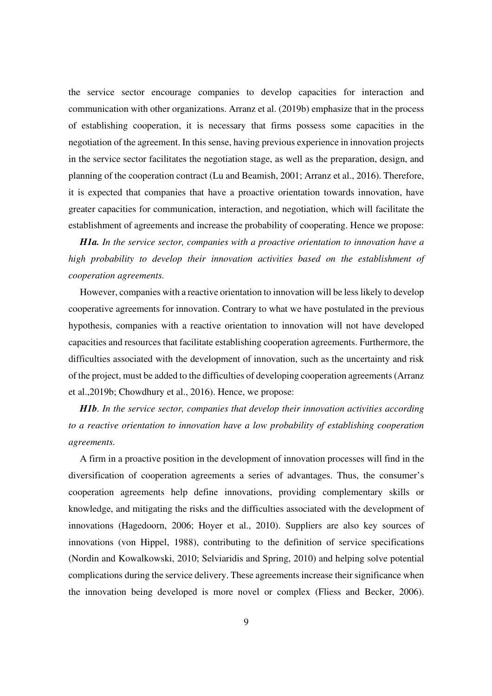the service sector encourage companies to develop capacities for interaction and communication with other organizations. Arranz et al. (2019b) emphasize that in the process of establishing cooperation, it is necessary that firms possess some capacities in the negotiation of the agreement. In this sense, having previous experience in innovation projects in the service sector facilitates the negotiation stage, as well as the preparation, design, and planning of the cooperation contract (Lu and Beamish, 2001; Arranz et al., 2016). Therefore, it is expected that companies that have a proactive orientation towards innovation, have greater capacities for communication, interaction, and negotiation, which will facilitate the establishment of agreements and increase the probability of cooperating. Hence we propose:

*H1a. In the service sector, companies with a proactive orientation to innovation have a high probability to develop their innovation activities based on the establishment of cooperation agreements.* 

However, companies with a reactive orientation to innovation will be less likely to develop cooperative agreements for innovation. Contrary to what we have postulated in the previous hypothesis, companies with a reactive orientation to innovation will not have developed capacities and resources that facilitate establishing cooperation agreements. Furthermore, the difficulties associated with the development of innovation, such as the uncertainty and risk of the project, must be added to the difficulties of developing cooperation agreements (Arranz et al.,2019b; Chowdhury et al., 2016). Hence, we propose:

*H1b. In the service sector, companies that develop their innovation activities according to a reactive orientation to innovation have a low probability of establishing cooperation agreements.* 

A firm in a proactive position in the development of innovation processes will find in the diversification of cooperation agreements a series of advantages. Thus, the consumer's cooperation agreements help define innovations, providing complementary skills or knowledge, and mitigating the risks and the difficulties associated with the development of innovations (Hagedoorn, 2006; Hoyer et al., 2010). Suppliers are also key sources of innovations (von Hippel, 1988), contributing to the definition of service specifications (Nordin and Kowalkowski, 2010; Selviaridis and Spring, 2010) and helping solve potential complications during the service delivery. These agreements increase their significance when the innovation being developed is more novel or complex (Fliess and Becker, 2006).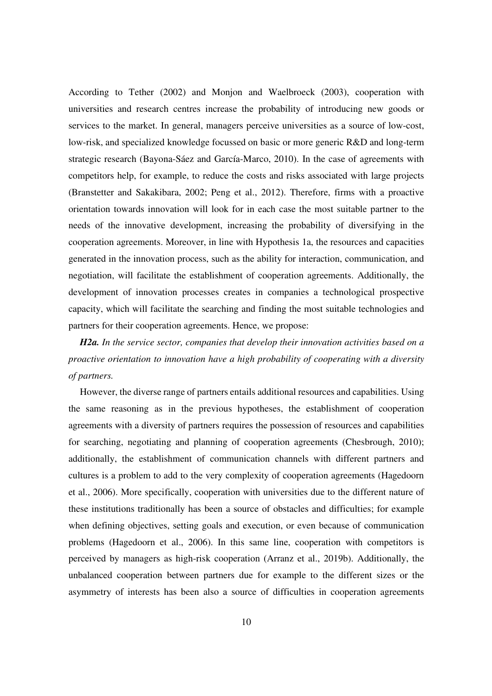According to Tether (2002) and Monjon and Waelbroeck (2003), cooperation with universities and research centres increase the probability of introducing new goods or services to the market. In general, managers perceive universities as a source of low-cost, low-risk, and specialized knowledge focussed on basic or more generic R&D and long-term strategic research (Bayona-Sáez and García-Marco, 2010). In the case of agreements with competitors help, for example, to reduce the costs and risks associated with large projects (Branstetter and Sakakibara, 2002; Peng et al., 2012). Therefore, firms with a proactive orientation towards innovation will look for in each case the most suitable partner to the needs of the innovative development, increasing the probability of diversifying in the cooperation agreements. Moreover, in line with Hypothesis 1a, the resources and capacities generated in the innovation process, such as the ability for interaction, communication, and negotiation, will facilitate the establishment of cooperation agreements. Additionally, the development of innovation processes creates in companies a technological prospective capacity, which will facilitate the searching and finding the most suitable technologies and partners for their cooperation agreements. Hence, we propose:

*H2a. In the service sector, companies that develop their innovation activities based on a proactive orientation to innovation have a high probability of cooperating with a diversity of partners.* 

However, the diverse range of partners entails additional resources and capabilities. Using the same reasoning as in the previous hypotheses, the establishment of cooperation agreements with a diversity of partners requires the possession of resources and capabilities for searching, negotiating and planning of cooperation agreements (Chesbrough, 2010); additionally, the establishment of communication channels with different partners and cultures is a problem to add to the very complexity of cooperation agreements (Hagedoorn et al., 2006). More specifically, cooperation with universities due to the different nature of these institutions traditionally has been a source of obstacles and difficulties; for example when defining objectives, setting goals and execution, or even because of communication problems (Hagedoorn et al., 2006). In this same line, cooperation with competitors is perceived by managers as high-risk cooperation (Arranz et al., 2019b). Additionally, the unbalanced cooperation between partners due for example to the different sizes or the asymmetry of interests has been also a source of difficulties in cooperation agreements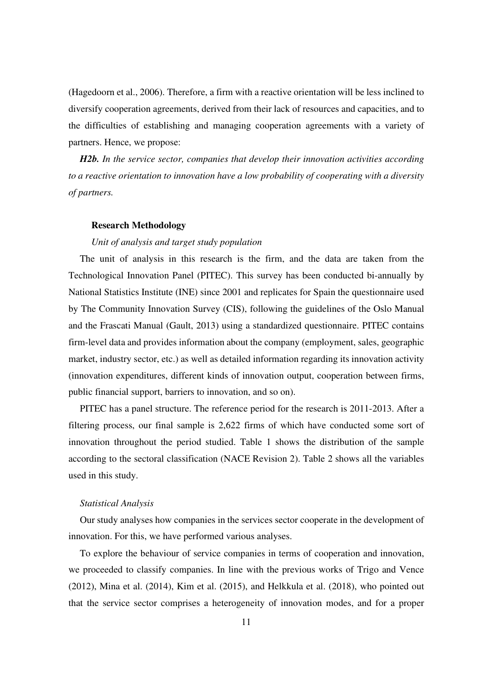(Hagedoorn et al., 2006). Therefore, a firm with a reactive orientation will be less inclined to diversify cooperation agreements, derived from their lack of resources and capacities, and to the difficulties of establishing and managing cooperation agreements with a variety of partners. Hence, we propose:

*H2b. In the service sector, companies that develop their innovation activities according to a reactive orientation to innovation have a low probability of cooperating with a diversity of partners.* 

#### **Research Methodology**

### *Unit of analysis and target study population*

The unit of analysis in this research is the firm, and the data are taken from the Technological Innovation Panel (PITEC). This survey has been conducted bi-annually by National Statistics Institute (INE) since 2001 and replicates for Spain the questionnaire used by The Community Innovation Survey (CIS), following the guidelines of the Oslo Manual and the Frascati Manual (Gault, 2013) using a standardized questionnaire. PITEC contains firm-level data and provides information about the company (employment, sales, geographic market, industry sector, etc.) as well as detailed information regarding its innovation activity (innovation expenditures, different kinds of innovation output, cooperation between firms, public financial support, barriers to innovation, and so on).

PITEC has a panel structure. The reference period for the research is 2011-2013. After a filtering process, our final sample is 2,622 firms of which have conducted some sort of innovation throughout the period studied. Table 1 shows the distribution of the sample according to the sectoral classification (NACE Revision 2). Table 2 shows all the variables used in this study.

#### *Statistical Analysis*

Our study analyses how companies in the services sector cooperate in the development of innovation. For this, we have performed various analyses.

To explore the behaviour of service companies in terms of cooperation and innovation, we proceeded to classify companies. In line with the previous works of Trigo and Vence (2012), Mina et al. (2014), Kim et al. (2015), and Helkkula et al. (2018), who pointed out that the service sector comprises a heterogeneity of innovation modes, and for a proper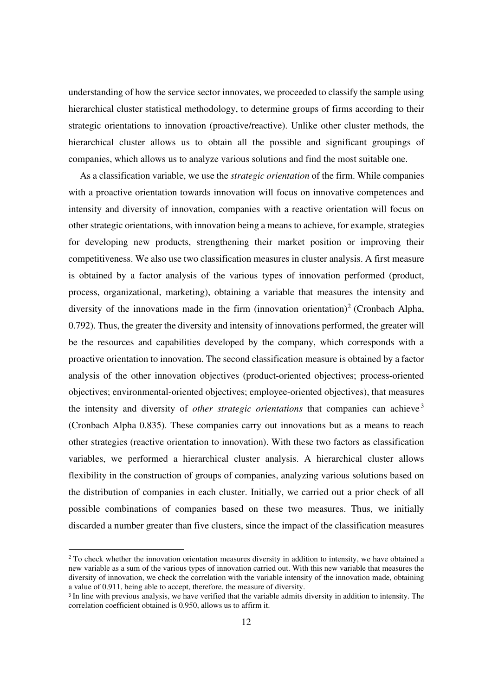understanding of how the service sector innovates, we proceeded to classify the sample using hierarchical cluster statistical methodology, to determine groups of firms according to their strategic orientations to innovation (proactive/reactive). Unlike other cluster methods, the hierarchical cluster allows us to obtain all the possible and significant groupings of companies, which allows us to analyze various solutions and find the most suitable one.

As a classification variable, we use the *strategic orientation* of the firm. While companies with a proactive orientation towards innovation will focus on innovative competences and intensity and diversity of innovation, companies with a reactive orientation will focus on other strategic orientations, with innovation being a means to achieve, for example, strategies for developing new products, strengthening their market position or improving their competitiveness. We also use two classification measures in cluster analysis. A first measure is obtained by a factor analysis of the various types of innovation performed (product, process, organizational, marketing), obtaining a variable that measures the intensity and diversity of the innovations made in the firm (innovation orientation)<sup>2</sup> (Cronbach Alpha, 0.792). Thus, the greater the diversity and intensity of innovations performed, the greater will be the resources and capabilities developed by the company, which corresponds with a proactive orientation to innovation. The second classification measure is obtained by a factor analysis of the other innovation objectives (product-oriented objectives; process-oriented objectives; environmental-oriented objectives; employee-oriented objectives), that measures the intensity and diversity of *other strategic orientations* that companies can achieve <sup>3</sup> (Cronbach Alpha 0.835). These companies carry out innovations but as a means to reach other strategies (reactive orientation to innovation). With these two factors as classification variables, we performed a hierarchical cluster analysis. A hierarchical cluster allows flexibility in the construction of groups of companies, analyzing various solutions based on the distribution of companies in each cluster. Initially, we carried out a prior check of all possible combinations of companies based on these two measures. Thus, we initially discarded a number greater than five clusters, since the impact of the classification measures

<sup>&</sup>lt;sup>2</sup> To check whether the innovation orientation measures diversity in addition to intensity, we have obtained a new variable as a sum of the various types of innovation carried out. With this new variable that measures the diversity of innovation, we check the correlation with the variable intensity of the innovation made, obtaining a value of 0.911, being able to accept, therefore, the measure of diversity.

<sup>&</sup>lt;sup>3</sup> In line with previous analysis, we have verified that the variable admits diversity in addition to intensity. The correlation coefficient obtained is 0.950, allows us to affirm it.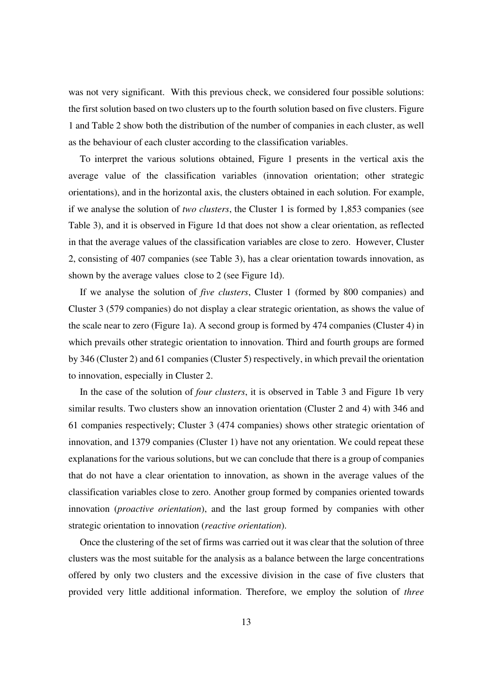was not very significant. With this previous check, we considered four possible solutions: the first solution based on two clusters up to the fourth solution based on five clusters. Figure 1 and Table 2 show both the distribution of the number of companies in each cluster, as well as the behaviour of each cluster according to the classification variables.

To interpret the various solutions obtained, Figure 1 presents in the vertical axis the average value of the classification variables (innovation orientation; other strategic orientations), and in the horizontal axis, the clusters obtained in each solution. For example, if we analyse the solution of *two clusters*, the Cluster 1 is formed by 1,853 companies (see Table 3), and it is observed in Figure 1d that does not show a clear orientation, as reflected in that the average values of the classification variables are close to zero. However, Cluster 2, consisting of 407 companies (see Table 3), has a clear orientation towards innovation, as shown by the average values close to 2 (see Figure 1d).

If we analyse the solution of *five clusters*, Cluster 1 (formed by 800 companies) and Cluster 3 (579 companies) do not display a clear strategic orientation, as shows the value of the scale near to zero (Figure 1a). A second group is formed by 474 companies (Cluster 4) in which prevails other strategic orientation to innovation. Third and fourth groups are formed by 346 (Cluster 2) and 61 companies (Cluster 5) respectively, in which prevail the orientation to innovation, especially in Cluster 2.

In the case of the solution of *four clusters*, it is observed in Table 3 and Figure 1b very similar results. Two clusters show an innovation orientation (Cluster 2 and 4) with 346 and 61 companies respectively; Cluster 3 (474 companies) shows other strategic orientation of innovation, and 1379 companies (Cluster 1) have not any orientation. We could repeat these explanations for the various solutions, but we can conclude that there is a group of companies that do not have a clear orientation to innovation, as shown in the average values of the classification variables close to zero. Another group formed by companies oriented towards innovation (*proactive orientation*), and the last group formed by companies with other strategic orientation to innovation (*reactive orientation*).

Once the clustering of the set of firms was carried out it was clear that the solution of three clusters was the most suitable for the analysis as a balance between the large concentrations offered by only two clusters and the excessive division in the case of five clusters that provided very little additional information. Therefore, we employ the solution of *three*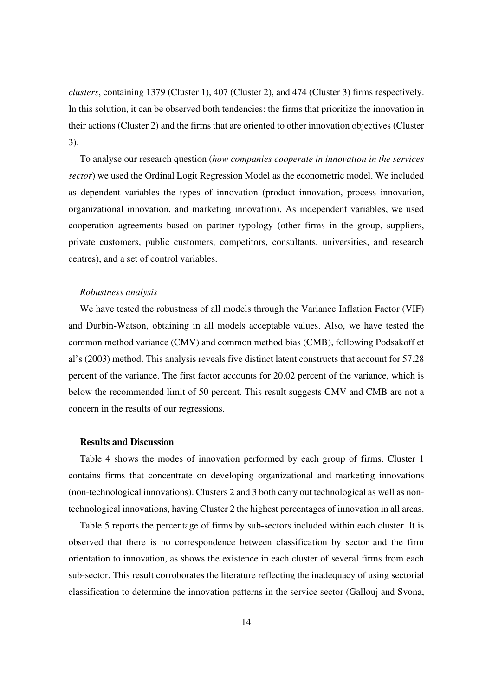*clusters*, containing 1379 (Cluster 1), 407 (Cluster 2), and 474 (Cluster 3) firms respectively. In this solution, it can be observed both tendencies: the firms that prioritize the innovation in their actions (Cluster 2) and the firms that are oriented to other innovation objectives (Cluster 3).

To analyse our research question (*how companies cooperate in innovation in the services sector*) we used the Ordinal Logit Regression Model as the econometric model. We included as dependent variables the types of innovation (product innovation, process innovation, organizational innovation, and marketing innovation). As independent variables, we used cooperation agreements based on partner typology (other firms in the group, suppliers, private customers, public customers, competitors, consultants, universities, and research centres), and a set of control variables.

#### *Robustness analysis*

We have tested the robustness of all models through the Variance Inflation Factor (VIF) and Durbin-Watson, obtaining in all models acceptable values. Also, we have tested the common method variance (CMV) and common method bias (CMB), following Podsakoff et al's (2003) method. This analysis reveals five distinct latent constructs that account for 57.28 percent of the variance. The first factor accounts for 20.02 percent of the variance, which is below the recommended limit of 50 percent. This result suggests CMV and CMB are not a concern in the results of our regressions.

### **Results and Discussion**

Table 4 shows the modes of innovation performed by each group of firms. Cluster 1 contains firms that concentrate on developing organizational and marketing innovations (non-technological innovations). Clusters 2 and 3 both carry out technological as well as nontechnological innovations, having Cluster 2 the highest percentages of innovation in all areas.

Table 5 reports the percentage of firms by sub-sectors included within each cluster. It is observed that there is no correspondence between classification by sector and the firm orientation to innovation, as shows the existence in each cluster of several firms from each sub-sector. This result corroborates the literature reflecting the inadequacy of using sectorial classification to determine the innovation patterns in the service sector (Gallouj and Svona,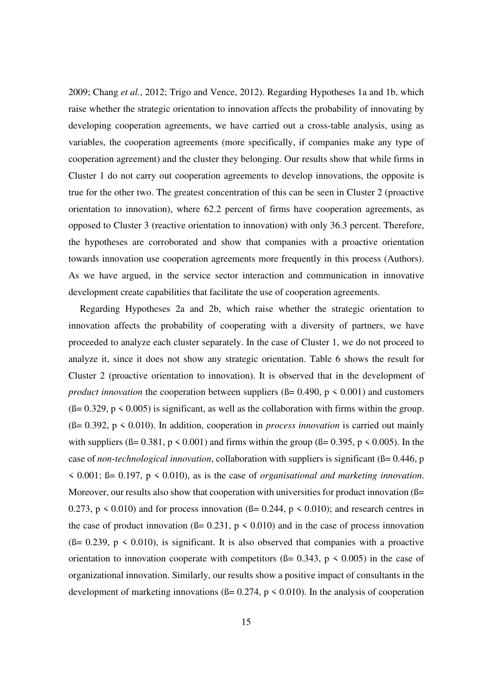2009; Chang *et al.*, 2012; Trigo and Vence, 2012). Regarding Hypotheses 1a and 1b, which raise whether the strategic orientation to innovation affects the probability of innovating by developing cooperation agreements, we have carried out a cross-table analysis, using as variables, the cooperation agreements (more specifically, if companies make any type of cooperation agreement) and the cluster they belonging. Our results show that while firms in Cluster 1 do not carry out cooperation agreements to develop innovations, the opposite is true for the other two. The greatest concentration of this can be seen in Cluster 2 (proactive orientation to innovation), where 62.2 percent of firms have cooperation agreements, as opposed to Cluster 3 (reactive orientation to innovation) with only 36.3 percent. Therefore, the hypotheses are corroborated and show that companies with a proactive orientation towards innovation use cooperation agreements more frequently in this process (Authors). As we have argued, in the service sector interaction and communication in innovative development create capabilities that facilitate the use of cooperation agreements.

Regarding Hypotheses 2a and 2b, which raise whether the strategic orientation to innovation affects the probability of cooperating with a diversity of partners, we have proceeded to analyze each cluster separately. In the case of Cluster 1, we do not proceed to analyze it, since it does not show any strategic orientation. Table 6 shows the result for Cluster 2 (proactive orientation to innovation). It is observed that in the development of *product innovation* the cooperation between suppliers ( $\beta$ = 0.490,  $p$  < 0.001) and customers  $(6=0.329, p \le 0.005)$  is significant, as well as the collaboration with firms within the group. (ß= 0.392, p < 0.010). In addition, cooperation in *process innovation* is carried out mainly with suppliers ( $\beta$ = 0.381, p < 0.001) and firms within the group ( $\beta$ = 0.395, p < 0.005). In the case of *non-technological innovation*, collaboration with suppliers is significant ( $\beta$ = 0.446, p < 0.001; ß= 0.197, p < 0.010), as is the case of *organisational and marketing innovation*. Moreover, our results also show that cooperation with universities for product innovation  $(\beta = \alpha)$ 0.273,  $p \le 0.010$ ) and for process innovation ( $\beta$ = 0.244,  $p \le 0.010$ ); and research centres in the case of product innovation ( $\beta$ = 0.231, p < 0.010) and in the case of process innovation  $(6= 0.239, p \le 0.010)$ , is significant. It is also observed that companies with a proactive orientation to innovation cooperate with competitors ( $\beta$ = 0.343, p < 0.005) in the case of organizational innovation. Similarly, our results show a positive impact of consultants in the development of marketing innovations ( $\beta$ = 0.274, p < 0.010). In the analysis of cooperation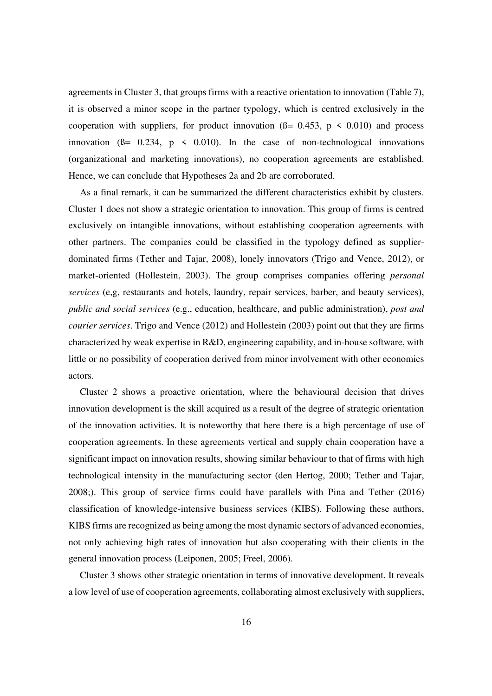agreements in Cluster 3, that groups firms with a reactive orientation to innovation (Table 7), it is observed a minor scope in the partner typology, which is centred exclusively in the cooperation with suppliers, for product innovation ( $\beta$ = 0.453, p < 0.010) and process innovation ( $\beta$ = 0.234,  $\beta$  < 0.010). In the case of non-technological innovations (organizational and marketing innovations), no cooperation agreements are established. Hence, we can conclude that Hypotheses 2a and 2b are corroborated.

As a final remark, it can be summarized the different characteristics exhibit by clusters. Cluster 1 does not show a strategic orientation to innovation. This group of firms is centred exclusively on intangible innovations, without establishing cooperation agreements with other partners. The companies could be classified in the typology defined as supplierdominated firms (Tether and Tajar, 2008), lonely innovators (Trigo and Vence, 2012), or market-oriented (Hollestein, 2003). The group comprises companies offering *personal services* (e,g, restaurants and hotels, laundry, repair services, barber, and beauty services), *public and social services* (e.g., education, healthcare, and public administration), *post and courier services*. Trigo and Vence (2012) and Hollestein (2003) point out that they are firms characterized by weak expertise in R&D, engineering capability, and in-house software, with little or no possibility of cooperation derived from minor involvement with other economics actors.

Cluster 2 shows a proactive orientation, where the behavioural decision that drives innovation development is the skill acquired as a result of the degree of strategic orientation of the innovation activities. It is noteworthy that here there is a high percentage of use of cooperation agreements. In these agreements vertical and supply chain cooperation have a significant impact on innovation results, showing similar behaviour to that of firms with high technological intensity in the manufacturing sector (den Hertog, 2000; Tether and Tajar, 2008;). This group of service firms could have parallels with Pina and Tether (2016) classification of knowledge-intensive business services (KIBS). Following these authors, KIBS firms are recognized as being among the most dynamic sectors of advanced economies, not only achieving high rates of innovation but also cooperating with their clients in the general innovation process (Leiponen, 2005; Freel, 2006).

Cluster 3 shows other strategic orientation in terms of innovative development. It reveals a low level of use of cooperation agreements, collaborating almost exclusively with suppliers,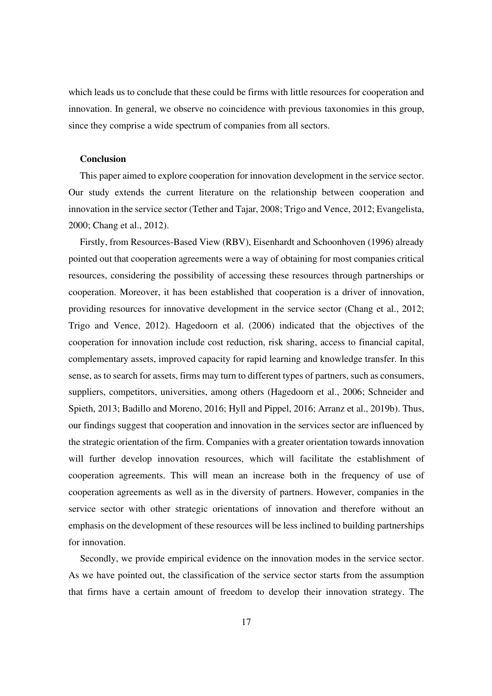which leads us to conclude that these could be firms with little resources for cooperation and innovation. In general, we observe no coincidence with previous taxonomies in this group, since they comprise a wide spectrum of companies from all sectors.

# **Conclusion**

This paper aimed to explore cooperation for innovation development in the service sector. Our study extends the current literature on the relationship between cooperation and innovation in the service sector (Tether and Tajar, 2008; Trigo and Vence, 2012; Evangelista, 2000; Chang et al., 2012).

Firstly, from Resources-Based View (RBV), Eisenhardt and Schoonhoven (1996) already pointed out that cooperation agreements were a way of obtaining for most companies critical resources, considering the possibility of accessing these resources through partnerships or cooperation. Moreover, it has been established that cooperation is a driver of innovation, providing resources for innovative development in the service sector (Chang et al., 2012; Trigo and Vence, 2012). Hagedoorn et al. (2006) indicated that the objectives of the cooperation for innovation include cost reduction, risk sharing, access to financial capital, complementary assets, improved capacity for rapid learning and knowledge transfer. In this sense, as to search for assets, firms may turn to different types of partners, such as consumers, suppliers, competitors, universities, among others (Hagedoorn et al., 2006; Schneider and Spieth, 2013; Badillo and Moreno, 2016; Hyll and Pippel, 2016; Arranz et al., 2019b). Thus, our findings suggest that cooperation and innovation in the services sector are influenced by the strategic orientation of the firm. Companies with a greater orientation towards innovation will further develop innovation resources, which will facilitate the establishment of cooperation agreements. This will mean an increase both in the frequency of use of cooperation agreements as well as in the diversity of partners. However, companies in the service sector with other strategic orientations of innovation and therefore without an emphasis on the development of these resources will be less inclined to building partnerships for innovation.

Secondly, we provide empirical evidence on the innovation modes in the service sector. As we have pointed out, the classification of the service sector starts from the assumption that firms have a certain amount of freedom to develop their innovation strategy. The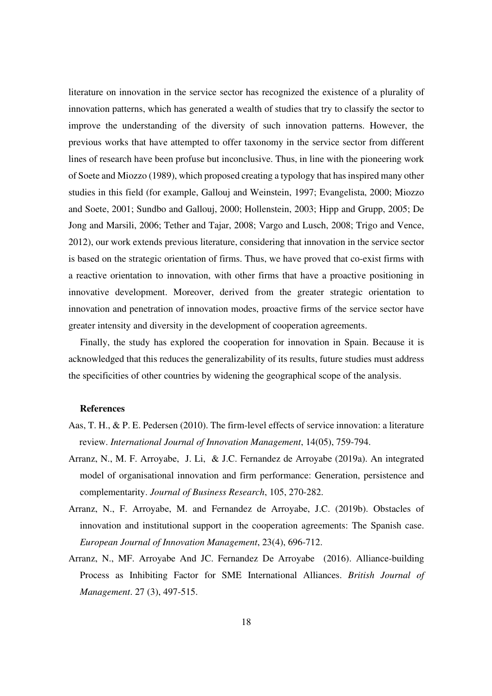literature on innovation in the service sector has recognized the existence of a plurality of innovation patterns, which has generated a wealth of studies that try to classify the sector to improve the understanding of the diversity of such innovation patterns. However, the previous works that have attempted to offer taxonomy in the service sector from different lines of research have been profuse but inconclusive. Thus, in line with the pioneering work of Soete and Miozzo (1989), which proposed creating a typology that has inspired many other studies in this field (for example, Gallouj and Weinstein, 1997; Evangelista, 2000; Miozzo and Soete, 2001; Sundbo and Gallouj, 2000; Hollenstein, 2003; Hipp and Grupp, 2005; De Jong and Marsili, 2006; Tether and Tajar, 2008; Vargo and Lusch, 2008; Trigo and Vence, 2012), our work extends previous literature, considering that innovation in the service sector is based on the strategic orientation of firms. Thus, we have proved that co-exist firms with a reactive orientation to innovation, with other firms that have a proactive positioning in innovative development. Moreover, derived from the greater strategic orientation to innovation and penetration of innovation modes, proactive firms of the service sector have greater intensity and diversity in the development of cooperation agreements.

Finally, the study has explored the cooperation for innovation in Spain. Because it is acknowledged that this reduces the generalizability of its results, future studies must address the specificities of other countries by widening the geographical scope of the analysis.

### **References**

- Aas, T. H., & P. E. Pedersen (2010). The firm-level effects of service innovation: a literature review. *International Journal of Innovation Management*, 14(05), 759-794.
- Arranz, N., M. F. Arroyabe, J. Li, & J.C. Fernandez de Arroyabe (2019a). An integrated model of organisational innovation and firm performance: Generation, persistence and complementarity. *Journal of Business Research*, 105, 270-282.
- Arranz, N., F. Arroyabe, M. and Fernandez de Arroyabe, J.C. (2019b). Obstacles of innovation and institutional support in the cooperation agreements: The Spanish case. *European Journal of Innovation Management*, 23(4), 696-712.
- Arranz, N., MF. Arroyabe And JC. Fernandez De Arroyabe (2016). Alliance-building Process as Inhibiting Factor for SME International Alliances. *British Journal of Management*. 27 (3), 497-515.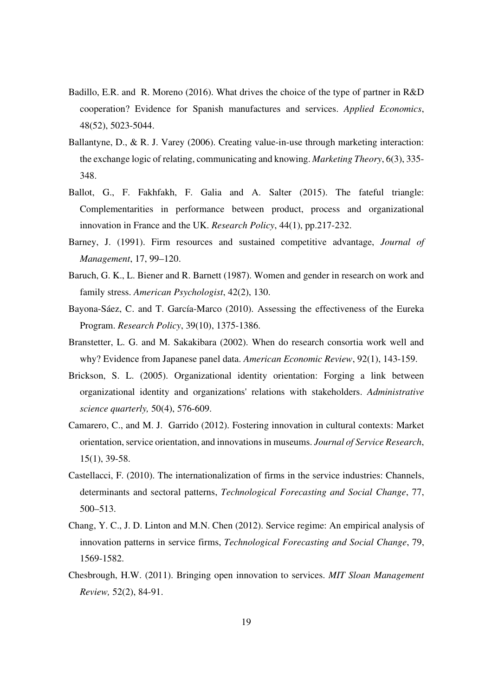- Badillo, E.R. and R. Moreno (2016). What drives the choice of the type of partner in R&D cooperation? Evidence for Spanish manufactures and services. *Applied Economics*, 48(52), 5023-5044.
- Ballantyne, D., & R. J. Varey (2006). Creating value-in-use through marketing interaction: the exchange logic of relating, communicating and knowing. *Marketing Theory*, 6(3), 335- 348.
- Ballot, G., F. Fakhfakh, F. Galia and A. Salter (2015). The fateful triangle: Complementarities in performance between product, process and organizational innovation in France and the UK. *Research Policy*, 44(1), pp.217-232.
- Barney, J. (1991). Firm resources and sustained competitive advantage, *Journal of Management*, 17, 99–120.
- Baruch, G. K., L. Biener and R. Barnett (1987). Women and gender in research on work and family stress. *American Psychologist*, 42(2), 130.
- Bayona-Sáez, C. and T. García-Marco (2010). Assessing the effectiveness of the Eureka Program. *Research Policy*, 39(10), 1375-1386.
- Branstetter, L. G. and M. Sakakibara (2002). When do research consortia work well and why? Evidence from Japanese panel data. *American Economic Review*, 92(1), 143-159.
- Brickson, S. L. (2005). Organizational identity orientation: Forging a link between organizational identity and organizations' relations with stakeholders. *Administrative science quarterly,* 50(4), 576-609.
- Camarero, C., and M. J. Garrido (2012). Fostering innovation in cultural contexts: Market orientation, service orientation, and innovations in museums. *Journal of Service Research*, 15(1), 39-58.
- Castellacci, F. (2010). The internationalization of firms in the service industries: Channels, determinants and sectoral patterns, *Technological Forecasting and Social Change*, 77, 500–513.
- Chang, Y. C., J. D. Linton and M.N. Chen (2012). Service regime: An empirical analysis of innovation patterns in service firms, *Technological Forecasting and Social Change*, 79, 1569-1582.
- Chesbrough, H.W. (2011). Bringing open innovation to services. *MIT Sloan Management Review,* 52(2), 84-91.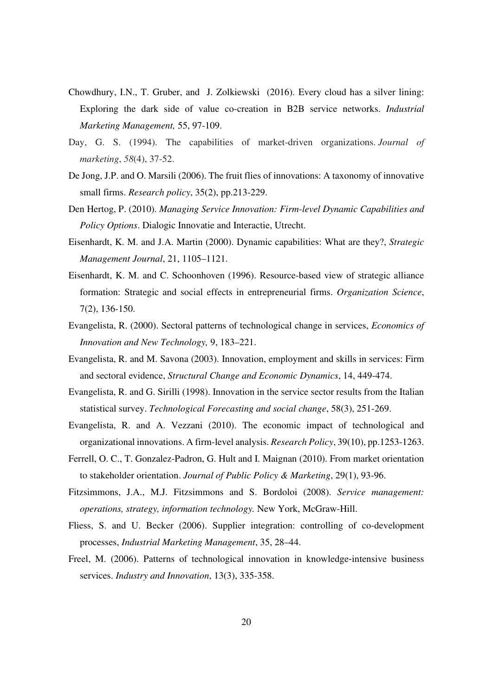- Chowdhury, I.N., T. Gruber, and J. Zolkiewski (2016). Every cloud has a silver lining: Exploring the dark side of value co-creation in B2B service networks. *Industrial Marketing Management,* 55, 97-109.
- Day, G. S. (1994). The capabilities of market-driven organizations. *Journal of marketing*, *58*(4), 37-52.
- De Jong, J.P. and O. Marsili (2006). The fruit flies of innovations: A taxonomy of innovative small firms. *Research policy*, 35(2), pp.213-229.
- Den Hertog, P. (2010). *Managing Service Innovation: Firm-level Dynamic Capabilities and Policy Options*. Dialogic Innovatie and Interactie, Utrecht.
- Eisenhardt, K. M. and J.A. Martin (2000). Dynamic capabilities: What are they?, *Strategic Management Journal*, 21, 1105–1121.
- Eisenhardt, K. M. and C. Schoonhoven (1996). Resource-based view of strategic alliance formation: Strategic and social effects in entrepreneurial firms. *Organization Science*, 7(2), 136-150.
- Evangelista, R. (2000). Sectoral patterns of technological change in services, *Economics of Innovation and New Technology,* 9, 183–221.
- Evangelista, R. and M. Savona (2003). Innovation, employment and skills in services: Firm and sectoral evidence, *Structural Change and Economic Dynamics*, 14, 449-474.
- Evangelista, R. and G. Sirilli (1998). Innovation in the service sector results from the Italian statistical survey. *Technological Forecasting and social change*, 58(3), 251-269.
- Evangelista, R. and A. Vezzani (2010). The economic impact of technological and organizational innovations. A firm-level analysis. *Research Policy*, 39(10), pp.1253-1263.
- Ferrell, O. C., T. Gonzalez-Padron, G. Hult and I. Maignan (2010). From market orientation to stakeholder orientation. *Journal of Public Policy & Marketing*, 29(1), 93-96.
- Fitzsimmons, J.A., M.J. Fitzsimmons and S. Bordoloi (2008). *Service management: operations, strategy, information technology.* New York, McGraw-Hill.
- Fliess, S. and U. Becker (2006). Supplier integration: controlling of co-development processes, *Industrial Marketing Management*, 35, 28–44.
- Freel, M. (2006). Patterns of technological innovation in knowledge-intensive business services. *Industry and Innovation*, 13(3), 335-358.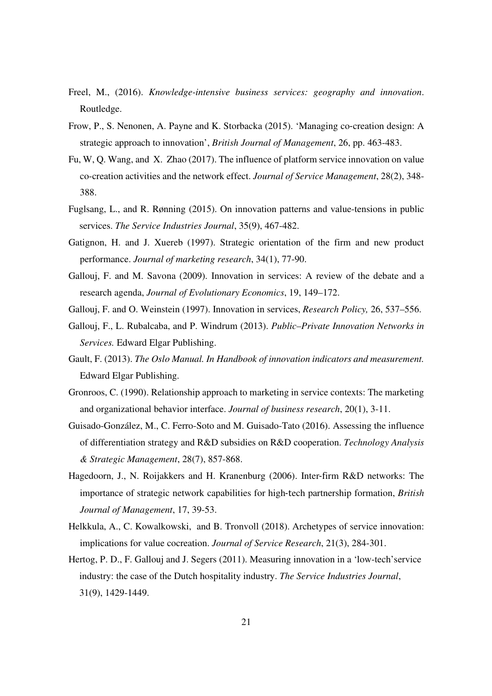- Freel, M., (2016). *Knowledge-intensive business services: geography and innovation*. Routledge.
- Frow, P., S. Nenonen, A. Payne and K. Storbacka (2015). 'Managing co-creation design: A strategic approach to innovation', *British Journal of Management*, 26, pp. 463-483.
- Fu, W, Q. Wang, and X. Zhao (2017). The influence of platform service innovation on value co-creation activities and the network effect. *Journal of Service Management*, 28(2), 348- 388.
- Fuglsang, L., and R. Rønning (2015). On innovation patterns and value-tensions in public services. *The Service Industries Journal*, 35(9), 467-482.
- Gatignon, H. and J. Xuereb (1997). Strategic orientation of the firm and new product performance. *Journal of marketing research*, 34(1), 77-90.
- Gallouj, F. and M. Savona (2009). Innovation in services: A review of the debate and a research agenda, *Journal of Evolutionary Economics*, 19, 149–172.
- Gallouj, F. and O. Weinstein (1997). Innovation in services, *Research Policy,* 26, 537–556.
- Gallouj, F., L. Rubalcaba, and P. Windrum (2013). *Public–Private Innovation Networks in Services.* Edward Elgar Publishing.
- Gault, F. (2013). *The Oslo Manual. In Handbook of innovation indicators and measurement.* Edward Elgar Publishing.
- Gronroos, C. (1990). Relationship approach to marketing in service contexts: The marketing and organizational behavior interface. *Journal of business research*, 20(1), 3-11.
- Guisado-González, M., C. Ferro-Soto and M. Guisado-Tato (2016). Assessing the influence of differentiation strategy and R&D subsidies on R&D cooperation. *Technology Analysis & Strategic Management*, 28(7), 857-868.
- Hagedoorn, J., N. Roijakkers and H. Kranenburg (2006). Inter‐firm R&D networks: The importance of strategic network capabilities for high‐tech partnership formation, *British Journal of Management*, 17, 39-53.
- Helkkula, A., C. Kowalkowski, and B. Tronvoll (2018). Archetypes of service innovation: implications for value cocreation. *Journal of Service Research*, 21(3), 284-301.
- Hertog, P. D., F. Gallouj and J. Segers (2011). Measuring innovation in a 'low-tech'service industry: the case of the Dutch hospitality industry. *The Service Industries Journal*, 31(9), 1429-1449.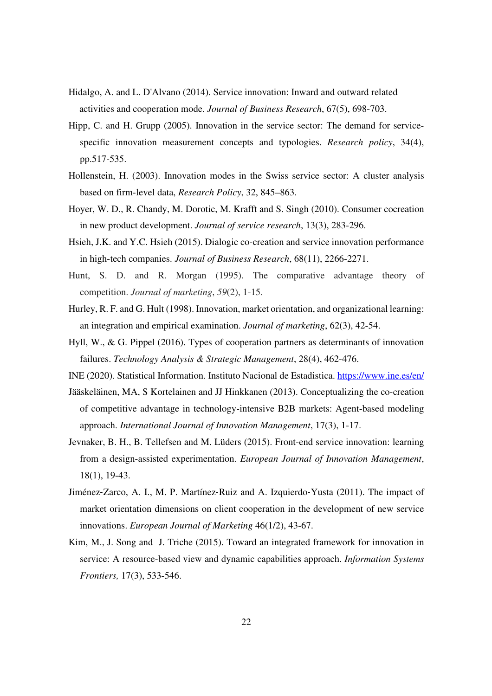- Hidalgo, A. and L. D'Alvano (2014). Service innovation: Inward and outward related activities and cooperation mode. *Journal of Business Research*, 67(5), 698-703.
- Hipp, C. and H. Grupp (2005). Innovation in the service sector: The demand for servicespecific innovation measurement concepts and typologies. *Research policy*, 34(4), pp.517-535.
- Hollenstein, H. (2003). Innovation modes in the Swiss service sector: A cluster analysis based on firm-level data, *Research Policy*, 32, 845–863.
- Hoyer, W. D., R. Chandy, M. Dorotic, M. Krafft and S. Singh (2010). Consumer cocreation in new product development. *Journal of service research*, 13(3), 283-296.
- Hsieh, J.K. and Y.C. Hsieh (2015). Dialogic co-creation and service innovation performance in high-tech companies. *Journal of Business Research*, 68(11), 2266-2271.
- Hunt, S. D. and R. Morgan (1995). The comparative advantage theory of competition. *Journal of marketing*, *59*(2), 1-15.
- Hurley, R. F. and G. Hult (1998). Innovation, market orientation, and organizational learning: an integration and empirical examination. *Journal of marketing*, 62(3), 42-54.
- Hyll, W., & G. Pippel (2016). Types of cooperation partners as determinants of innovation failures. *Technology Analysis & Strategic Management*, 28(4), 462-476.
- INE (2020). Statistical Information. Instituto Nacional de Estadistica. https://www.ine.es/en/
- Jääskeläinen, MA, S Kortelainen and JJ Hinkkanen (2013). Conceptualizing the co-creation of competitive advantage in technology-intensive B2B markets: Agent-based modeling approach. *International Journal of Innovation Management*, 17(3), 1-17.
- Jevnaker, B. H., B. Tellefsen and M. Lüders (2015). Front-end service innovation: learning from a design-assisted experimentation. *European Journal of Innovation Management*, 18(1), 19-43.
- Jiménez‐Zarco, A. I., M. P. Martínez‐Ruiz and A. Izquierdo‐Yusta (2011). The impact of market orientation dimensions on client cooperation in the development of new service innovations. *European Journal of Marketing* 46(1/2), 43-67.
- Kim, M., J. Song and J. Triche (2015). Toward an integrated framework for innovation in service: A resource-based view and dynamic capabilities approach. *Information Systems Frontiers,* 17(3), 533-546.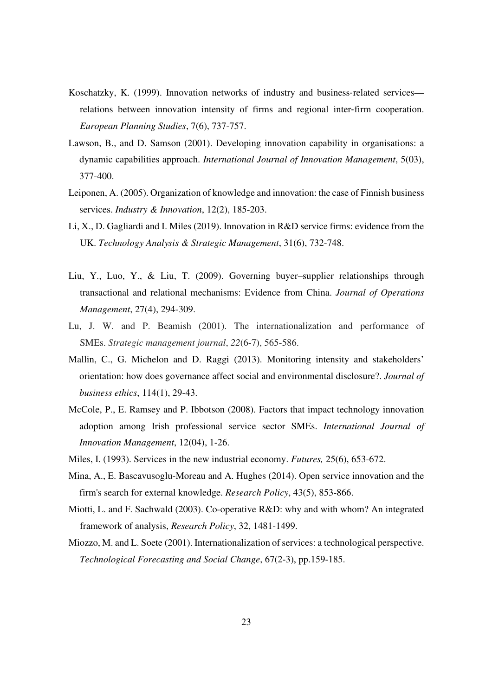- Koschatzky, K. (1999). Innovation networks of industry and business-related services relations between innovation intensity of firms and regional inter‐firm cooperation. *European Planning Studies*, 7(6), 737-757.
- Lawson, B., and D. Samson (2001). Developing innovation capability in organisations: a dynamic capabilities approach. *International Journal of Innovation Management*, 5(03), 377-400.
- Leiponen, A. (2005). Organization of knowledge and innovation: the case of Finnish business services. *Industry & Innovation*, 12(2), 185-203.
- Li, X., D. Gagliardi and I. Miles (2019). Innovation in R&D service firms: evidence from the UK. *Technology Analysis & Strategic Management*, 31(6), 732-748.
- Liu, Y., Luo, Y., & Liu, T. (2009). Governing buyer–supplier relationships through transactional and relational mechanisms: Evidence from China. *Journal of Operations Management*, 27(4), 294-309.
- Lu, J. W. and P. Beamish (2001). The internationalization and performance of SMEs. *Strategic management journal*, *22*(6‐7), 565-586.
- Mallin, C., G. Michelon and D. Raggi (2013). Monitoring intensity and stakeholders' orientation: how does governance affect social and environmental disclosure?. *Journal of business ethics*, 114(1), 29-43.
- McCole, P., E. Ramsey and P. Ibbotson (2008). Factors that impact technology innovation adoption among Irish professional service sector SMEs. *International Journal of Innovation Management*, 12(04), 1-26.
- Miles, I. (1993). Services in the new industrial economy. *Futures,* 25(6), 653-672.
- Mina, A., E. Bascavusoglu-Moreau and A. Hughes (2014). Open service innovation and the firm's search for external knowledge. *Research Policy*, 43(5), 853-866.
- Miotti, L. and F. Sachwald (2003). Co-operative R&D: why and with whom? An integrated framework of analysis, *Research Policy*, 32, 1481-1499.
- Miozzo, M. and L. Soete (2001). Internationalization of services: a technological perspective. *Technological Forecasting and Social Change*, 67(2-3), pp.159-185.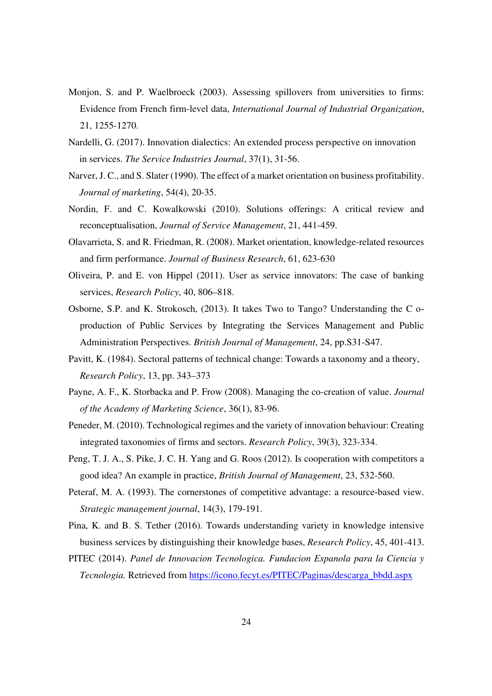- Monjon, S. and P. Waelbroeck (2003). Assessing spillovers from universities to firms: Evidence from French firm-level data, *International Journal of Industrial Organization*, 21, 1255-1270.
- Nardelli, G. (2017). Innovation dialectics: An extended process perspective on innovation in services. *The Service Industries Journal*, 37(1), 31-56.
- Narver, J. C., and S. Slater (1990). The effect of a market orientation on business profitability. *Journal of marketing*, 54(4), 20-35.
- Nordin, F. and C. Kowalkowski (2010). Solutions offerings: A critical review and reconceptualisation, *Journal of Service Management*, 21, 441-459.
- Olavarrieta, S. and R. Friedman, R. (2008). Market orientation, knowledge-related resources and firm performance. *Journal of Business Research*, 61, 623-630
- Oliveira, P. and E. von Hippel (2011). User as service innovators: The case of banking services, *Research Policy*, 40, 806–818.
- Osborne, S.P. and K. Strokosch, (2013). It takes Two to Tango? Understanding the C o‐ production of Public Services by Integrating the Services Management and Public Administration Perspectives. *British Journal of Management*, 24, pp.S31-S47.
- Pavitt, K. (1984). Sectoral patterns of technical change: Towards a taxonomy and a theory, *Research Policy*, 13, pp. 343–373
- Payne, A. F., K. Storbacka and P. Frow (2008). Managing the co-creation of value. *Journal of the Academy of Marketing Science*, 36(1), 83-96.
- Peneder, M. (2010). Technological regimes and the variety of innovation behaviour: Creating integrated taxonomies of firms and sectors. *Research Policy*, 39(3), 323-334.
- Peng, T. J. A., S. Pike, J. C. H. Yang and G. Roos (2012). Is cooperation with competitors a good idea? An example in practice, *British Journal of Management*, 23, 532-560.
- Peteraf, M. A. (1993). The cornerstones of competitive advantage: a resource-based view. *Strategic management journal*, 14(3), 179-191.
- Pina, K. and B. S. Tether (2016). Towards understanding variety in knowledge intensive business services by distinguishing their knowledge bases, *Research Policy*, 45, 401-413.
- PITEC (2014). *Panel de Innovacion Tecnologica. Fundacion Espanola para la Ciencia y Tecnologia.* Retrieved from https://icono.fecyt.es/PITEC/Paginas/descarga\_bbdd.aspx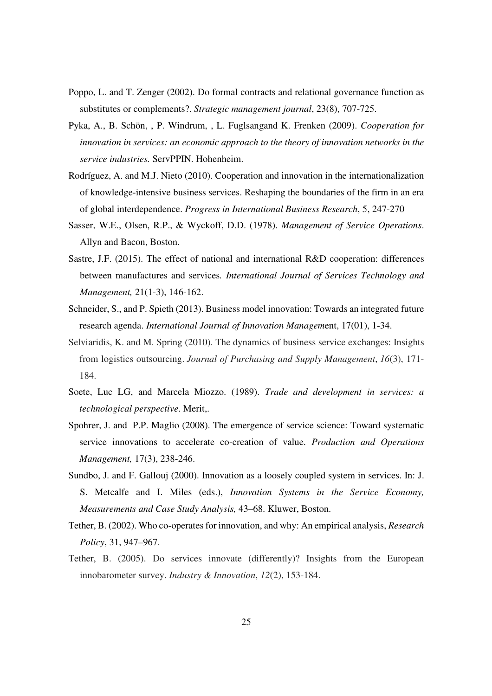- Poppo, L. and T. Zenger (2002). Do formal contracts and relational governance function as substitutes or complements?. *Strategic management journal*, 23(8), 707-725.
- Pyka, A., B. Schön, , P. Windrum, , L. Fuglsangand K. Frenken (2009). *Cooperation for innovation in services: an economic approach to the theory of innovation networks in the service industries.* ServPPIN. Hohenheim.
- Rodríguez, A. and M.J. Nieto (2010). Cooperation and innovation in the internationalization of knowledge-intensive business services. Reshaping the boundaries of the firm in an era of global interdependence. *Progress in International Business Research*, 5, 247-270
- Sasser, W.E., Olsen, R.P., & Wyckoff, D.D. (1978). *Management of Service Operations*. Allyn and Bacon, Boston.
- Sastre, J.F. (2015). The effect of national and international R&D cooperation: differences between manufactures and services*. International Journal of Services Technology and Management,* 21(1-3), 146-162.
- Schneider, S., and P. Spieth (2013). Business model innovation: Towards an integrated future research agenda. *International Journal of Innovation Managem*ent, 17(01), 1-34.
- Selviaridis, K. and M. Spring (2010). The dynamics of business service exchanges: Insights from logistics outsourcing. *Journal of Purchasing and Supply Management*, *16*(3), 171- 184.
- Soete, Luc LG, and Marcela Miozzo. (1989). *Trade and development in services: a technological perspective*. Merit,.
- Spohrer, J. and P.P. Maglio (2008). The emergence of service science: Toward systematic service innovations to accelerate co-creation of value. *Production and Operations Management,* 17(3), 238-246.
- Sundbo, J. and F. Gallouj (2000). Innovation as a loosely coupled system in services. In: J. S. Metcalfe and I. Miles (eds.), *Innovation Systems in the Service Economy, Measurements and Case Study Analysis,* 43–68. Kluwer, Boston.
- Tether, B. (2002). Who co-operates for innovation, and why: An empirical analysis, *Research Policy*, 31, 947–967.
- Tether, B. (2005). Do services innovate (differently)? Insights from the European innobarometer survey. *Industry & Innovation*, *12*(2), 153-184.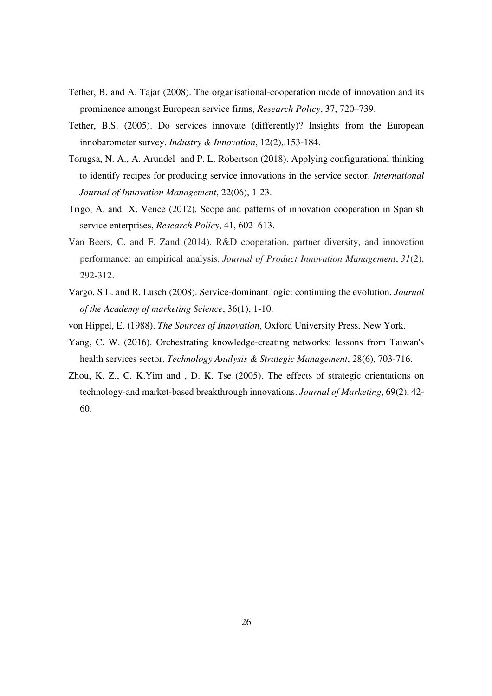- Tether, B. and A. Tajar (2008). The organisational-cooperation mode of innovation and its prominence amongst European service firms, *Research Policy*, 37, 720–739.
- Tether, B.S. (2005). Do services innovate (differently)? Insights from the European innobarometer survey. *Industry & Innovation*, 12(2),.153-184.
- Torugsa, N. A., A. Arundel and P. L. Robertson (2018). Applying configurational thinking to identify recipes for producing service innovations in the service sector. *International Journal of Innovation Management*, 22(06), 1-23.
- Trigo, A. and X. Vence (2012). Scope and patterns of innovation cooperation in Spanish service enterprises, *Research Policy*, 41, 602–613.
- Van Beers, C. and F. Zand (2014). R&D cooperation, partner diversity, and innovation performance: an empirical analysis. *Journal of Product Innovation Management*, *31*(2), 292-312.
- Vargo, S.L. and R. Lusch (2008). Service-dominant logic: continuing the evolution. *Journal of the Academy of marketing Science*, 36(1), 1-10.
- von Hippel, E. (1988). *The Sources of Innovation*, Oxford University Press, New York.
- Yang, C. W. (2016). Orchestrating knowledge-creating networks: lessons from Taiwan's health services sector. *Technology Analysis & Strategic Management*, 28(6), 703-716.
- Zhou, K. Z., C. K.Yim and , D. K. Tse (2005). The effects of strategic orientations on technology-and market-based breakthrough innovations. *Journal of Marketing*, 69(2), 42- 60.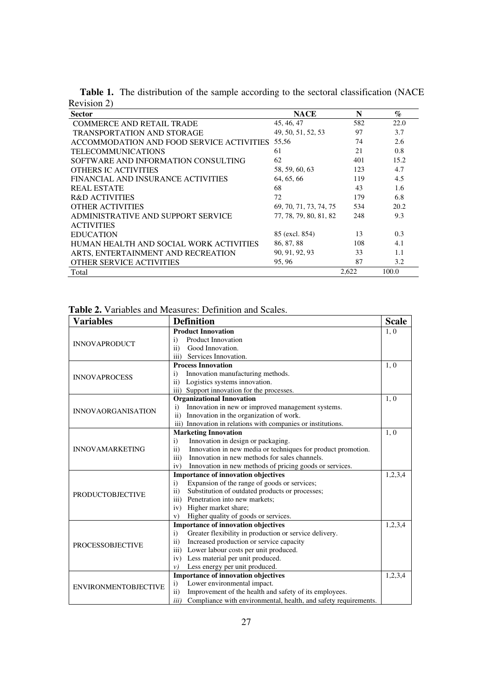| <b>Sector</b>                             | <b>NACE</b>            | N     | $\%$  |
|-------------------------------------------|------------------------|-------|-------|
| <b>COMMERCE AND RETAIL TRADE</b>          | 45, 46, 47             | 582   | 22.0  |
| <b>TRANSPORTATION AND STORAGE</b>         | 49, 50, 51, 52, 53     | 97    | 3.7   |
| ACCOMMODATION AND FOOD SERVICE ACTIVITIES | 55,56                  | 74    | 2.6   |
| <b>TELECOMMUNICATIONS</b>                 | 61                     | 21    | 0.8   |
| SOFTWARE AND INFORMATION CONSULTING       | 62                     | 401   | 15.2  |
| <b>OTHERS IC ACTIVITIES</b>               | 58, 59, 60, 63         | 123   | 4.7   |
| FINANCIAL AND INSURANCE ACTIVITIES        | 64, 65, 66             | 119   | 4.5   |
| <b>REAL ESTATE</b>                        | 68                     | 43    | 1.6   |
| <b>R&amp;D ACTIVITIES</b>                 | 72                     | 179   | 6.8   |
| <b>OTHER ACTIVITIES</b>                   | 69, 70, 71, 73, 74, 75 | 534   | 20.2  |
| ADMINISTRATIVE AND SUPPORT SERVICE        | 77, 78, 79, 80, 81, 82 | 248   | 9.3   |
| <b>ACTIVITIES</b>                         |                        |       |       |
| <b>EDUCATION</b>                          | 85 (excl. 854)         | 13    | 0.3   |
| HUMAN HEALTH AND SOCIAL WORK ACTIVITIES   | 86, 87, 88             | 108   | 4.1   |
| ARTS, ENTERTAINMENT AND RECREATION        | 90, 91, 92, 93         | 33    | 1.1   |
| OTHER SERVICE ACTIVITIES                  | 95,96                  | 87    | 3.2   |
| Total                                     |                        | 2.622 | 100.0 |

**Table 1.** The distribution of the sample according to the sectoral classification (NACE Revision 2)

| <b>Table 2.</b> Variables and Measures: Definition and Scales. |  |  |  |
|----------------------------------------------------------------|--|--|--|
|----------------------------------------------------------------|--|--|--|

| <b>Variables</b>            | <b>Definition</b>                                                             | <b>Scale</b> |
|-----------------------------|-------------------------------------------------------------------------------|--------------|
|                             | <b>Product Innovation</b>                                                     | 1, 0         |
| <b>INNOVAPRODUCT</b>        | <b>Product Innovation</b><br>$\mathbf{i}$                                     |              |
|                             | Good Innovation.<br>$\mathbf{ii}$                                             |              |
|                             | Services Innovation.<br>iii)                                                  |              |
|                             | <b>Process Innovation</b>                                                     | 1, 0         |
| <b>INNOVAPROCESS</b>        | Innovation manufacturing methods.<br>$\mathbf{i}$                             |              |
|                             | Logistics systems innovation.<br>$\mathbf{ii}$                                |              |
|                             | iii) Support innovation for the processes.                                    |              |
|                             | <b>Organizational Innovation</b>                                              | 1, 0         |
| <b>INNOVAORGANISATION</b>   | Innovation in new or improved management systems.<br>i)                       |              |
|                             | ii) Innovation in the organization of work.                                   |              |
|                             | iii) Innovation in relations with companies or institutions.                  |              |
|                             | <b>Marketing Innovation</b>                                                   | 1, 0         |
|                             | Innovation in design or packaging.<br>$\mathbf{i}$                            |              |
| <b>INNOVAMARKETING</b>      | Innovation in new media or techniques for product promotion.<br>$\mathbf{ii}$ |              |
|                             | Innovation in new methods for sales channels.<br>iii)                         |              |
|                             | iv)<br>Innovation in new methods of pricing goods or services.                |              |
|                             | <b>Importance of innovation objectives</b>                                    | 1,2,3,4      |
|                             | Expansion of the range of goods or services;<br>$\mathbf{i}$                  |              |
| <b>PRODUCTOBJECTIVE</b>     | Substitution of outdated products or processes;<br>$\mathbf{ii}$              |              |
|                             | Penetration into new markets:<br>iii)                                         |              |
|                             | Higher market share;<br>iv)                                                   |              |
|                             | Higher quality of goods or services.<br>V)                                    |              |
|                             | <b>Importance of innovation objectives</b>                                    | 1,2,3,4      |
|                             | Greater flexibility in production or service delivery.<br>$\mathbf{i}$        |              |
| <b>PROCESSOBJECTIVE</b>     | Increased production or service capacity<br>$\mathbf{ii}$                     |              |
|                             | Lower labour costs per unit produced.<br>$\overline{iii}$ )                   |              |
|                             | iv) Less material per unit produced.                                          |              |
|                             | Less energy per unit produced.<br>$\nu$ )                                     |              |
|                             | <b>Importance of innovation objectives</b>                                    | 1,2,3,4      |
| <b>ENVIRONMENTOBJECTIVE</b> | Lower environmental impact.<br>$\mathbf{i}$                                   |              |
|                             | Improvement of the health and safety of its employees.<br>$\mathbf{ii}$       |              |
|                             | Compliance with environmental, health, and safety requirements.<br>iii)       |              |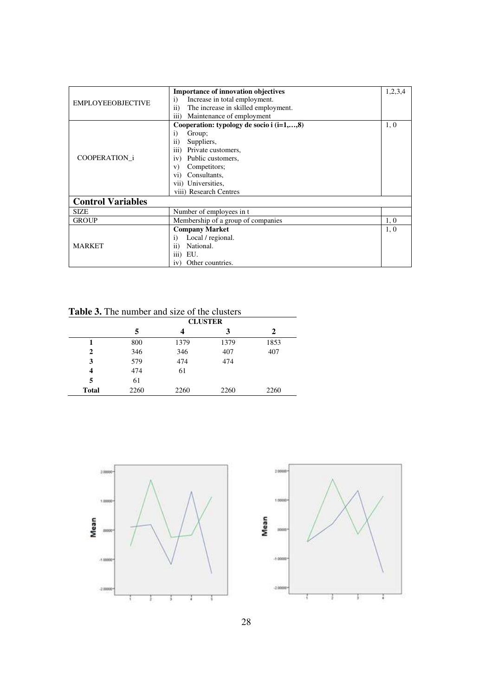|                          | <b>Importance of innovation objectives</b>    | 1,2,3,4 |
|--------------------------|-----------------------------------------------|---------|
| <b>EMPLOYEEOBJECTIVE</b> | Increase in total employment.<br>$\mathbf{i}$ |         |
|                          | The increase in skilled employment.<br>ii)    |         |
|                          | iii)<br>Maintenance of employment             |         |
|                          | Cooperation: typology de socio i $(i=1,,8)$   | 1, 0    |
|                          | Group;<br>$\bf{1)}$                           |         |
|                          | $\rm ii)$<br>Suppliers,                       |         |
|                          | iii)<br>Private customers,                    |         |
| COOPERATION i            | Public customers,<br>iv)                      |         |
|                          | Competitors;<br>V)                            |         |
|                          | Consultants,<br>Vİ)                           |         |
|                          | vii) Universities,                            |         |
|                          | viii) Research Centres                        |         |
| <b>Control Variables</b> |                                               |         |
| <b>SIZE</b>              | Number of employees in t                      |         |
| <b>GROUP</b>             | Membership of a group of companies            | 1, 0    |
|                          | <b>Company Market</b>                         | 1, 0    |
|                          | Local / regional.<br>$\bf{1)}$                |         |
| <b>MARKET</b>            | National.<br>$\rm ii)$                        |         |
|                          | EU.<br>111)                                   |         |
|                          | Other countries.<br>iv'                       |         |

**Table 3.** The number and size of the clusters

|                         | <b>CLUSTER</b> |      |      |      |
|-------------------------|----------------|------|------|------|
|                         | 5              | 4    | 3    | 2    |
|                         | 800            | 1379 | 1379 | 1853 |
| $\mathbf{2}$            | 346            | 346  | 407  | 407  |
| 3                       | 579            | 474  | 474  |      |
| $\overline{\mathbf{4}}$ | 474            | 61   |      |      |
| 5                       | 61             |      |      |      |
| <b>Total</b>            | 2260           | 2260 | 2260 | 2260 |



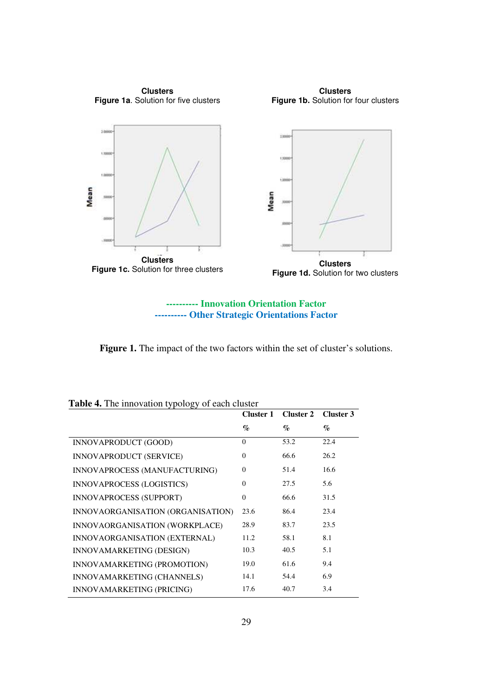

**---------- Innovation Orientation Factor ---------- Other Strategic Orientations Factor** 

Figure 1. The impact of the two factors within the set of cluster's solutions.

|                                   | Cluster 1 |      | Cluster 2 Cluster 3 |
|-----------------------------------|-----------|------|---------------------|
|                                   | $\%$      | $\%$ | $\%$                |
| INNOVAPRODUCT (GOOD)              | $\Omega$  | 53.2 | 22.4                |
| INNOVAPRODUCT (SERVICE)           | $\Omega$  | 66.6 | 26.2                |
| INNOVAPROCESS (MANUFACTURING)     | $\theta$  | 51.4 | 16.6                |
| <b>INNOVAPROCESS (LOGISTICS)</b>  | $\Omega$  | 27.5 | 5.6                 |
| INNOVAPROCESS (SUPPORT)           | $\theta$  | 66.6 | 31.5                |
| INNOVAORGANISATION (ORGANISATION) | 23.6      | 86.4 | 23.4                |
| INNOVAORGANISATION (WORKPLACE)    | 28.9      | 83.7 | 23.5                |
| INNOVAORGANISATION (EXTERNAL)     | 11.2      | 58.1 | 8.1                 |
| INNOVAMARKETING (DESIGN)          | 10.3      | 40.5 | 5.1                 |
| INNOVAMARKETING (PROMOTION)       | 19.0      | 61.6 | 9.4                 |
| INNOVAMARKETING (CHANNELS)        | 14.1      | 54.4 | 6.9                 |
| INNOVAMARKETING (PRICING)         | 17.6      | 40.7 | 3.4                 |

**Table 4.** The innovation typology of each cluster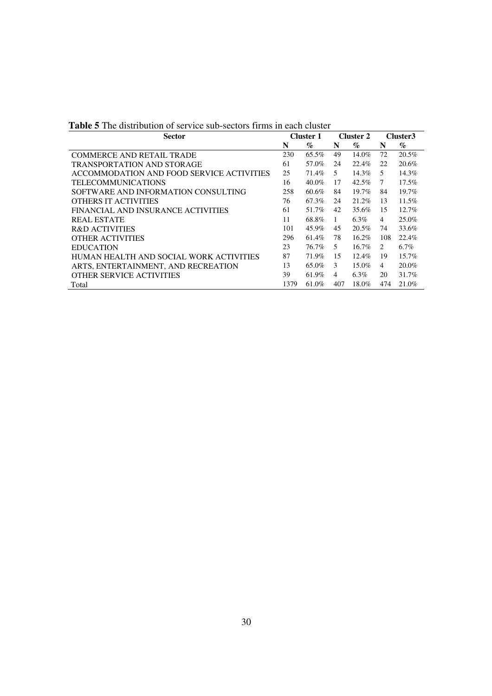| <b>Sector</b>                             |      | <b>Cluster 1</b> |               | <b>Cluster 2</b> |     | Cluster3 |
|-------------------------------------------|------|------------------|---------------|------------------|-----|----------|
|                                           | N    | $\%$             | N             | $\%$             | N   | $\%$     |
| <b>COMMERCE AND RETAIL TRADE</b>          | 230  | 65.5%            | 49            | 14.0%            | 72  | 20.5%    |
| <b>TRANSPORTATION AND STORAGE</b>         | 61   | 57.0%            | 24            | 22.4%            | 22  | 20.6%    |
| ACCOMMODATION AND FOOD SERVICE ACTIVITIES | 25   | 71.4%            | $\mathcal{F}$ | $14.3\%$         | 5   | 14.3%    |
| <b>TELECOMMUNICATIONS</b>                 | 16   | 40.0%            | 17            | 42.5%            | 7   | 17.5%    |
| SOFTWARE AND INFORMATION CONSULTING       | 258  | 60.6%            | 84            | $19.7\%$         | 84  | 19.7%    |
| <b>OTHERS IT ACTIVITIES</b>               | 76   | 67.3%            | 24            | 21.2%            | 13  | 11.5%    |
| FINANCIAL AND INSURANCE ACTIVITIES        | 61   | 51.7%            | 42            | 35.6%            | 15  | 12.7%    |
| <b>REAL ESTATE</b>                        | 11   | 68.8%            | $\mathbf{1}$  | 6.3%             | 4   | 25.0%    |
| <b>R&amp;D ACTIVITIES</b>                 | 101  | $45.9\%$         | 45            | 20.5%            | 74  | 33.6%    |
| <b>OTHER ACTIVITIES</b>                   | 296  | 61.4%            | 78            | $16.2\%$         | 108 | 22.4%    |
| <b>EDUCATION</b>                          | 23   | 76.7%            | 5             | $16.7\%$         | 2   | $6.7\%$  |
| HUMAN HEALTH AND SOCIAL WORK ACTIVITIES   | 87   | 71.9%            | 15            | $12.4\%$         | 19  | $15.7\%$ |
| ARTS, ENTERTAINMENT, AND RECREATION       | 13   | 65.0%            | 3             | $15.0\%$         | 4   | 20.0%    |
| OTHER SERVICE ACTIVITIES                  | 39   | 61.9%            | 4             | $6.3\%$          | 20  | 31.7%    |
| Total                                     | 1379 | 61.0%            | 407           | 18.0%            | 474 | 21.0%    |

**Table 5** The distribution of service sub-sectors firms in each cluster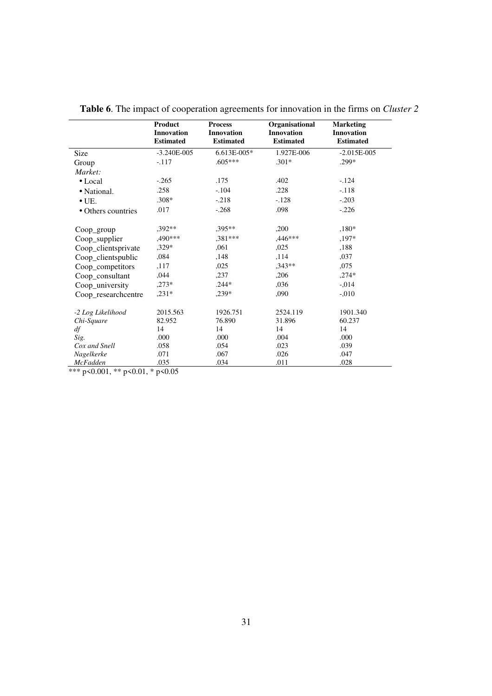|                     | Product<br><b>Innovation</b><br><b>Estimated</b> | <b>Process</b><br><b>Innovation</b><br><b>Estimated</b> | Organisational<br><b>Innovation</b><br><b>Estimated</b> | <b>Marketing</b><br><b>Innovation</b><br><b>Estimated</b> |
|---------------------|--------------------------------------------------|---------------------------------------------------------|---------------------------------------------------------|-----------------------------------------------------------|
| Size                | $-3.240E - 005$                                  | $6.613E - 005*$                                         | 1.927E-006                                              | $-2.015E-005$                                             |
| Group               | $-.117$                                          | $.605***$                                               | $.301*$                                                 | .299*                                                     |
| Market:             |                                                  |                                                         |                                                         |                                                           |
| $\bullet$ Local     | $-.265$                                          | .175                                                    | .402                                                    | $-124$                                                    |
| • National.         | .258                                             | $-.104$                                                 | .228                                                    | $-.118$                                                   |
| $\bullet$ UE.       | $.308*$                                          | $-.218$                                                 | $-.128$                                                 | $-.203$                                                   |
| • Others countries  | .017                                             | $-.268$                                                 | .098                                                    | $-.226$                                                   |
| Coop_group          | .392**                                           | ,395**                                                  | ,200                                                    | $,180*$                                                   |
| Coop_supplier       | ,490***                                          | $.381***$                                               | $,446***$                                               | $,197*$                                                   |
| Coop_clientsprivate | ,329*                                            | .061                                                    | ,025                                                    | ,188                                                      |
| Coop_clientspublic  | ,084                                             | ,148                                                    | ,114                                                    | ,037                                                      |
| Coop_competitors    | ,117                                             | ,025                                                    | $,343**$                                                | ,075                                                      |
| Coop_consultant     | ,044                                             | ,237                                                    | ,206                                                    | $,274*$                                                   |
| Coop_university     | $,273*$                                          | $.244*$                                                 | ,036                                                    | $-.014$                                                   |
| Coop_researchcentre | $,231*$                                          | $,239*$                                                 | ,090                                                    | $-.010$                                                   |
| -2 Log Likelihood   | 2015.563                                         | 1926.751                                                | 2524.119                                                | 1901.340                                                  |
| Chi-Square          | 82.952                                           | 76.890                                                  | 31.896                                                  | 60.237                                                    |
| df                  | 14                                               | 14                                                      | 14                                                      | 14                                                        |
| Sig.                | .000                                             | .000                                                    | .004                                                    | .000                                                      |
| Cox and Snell       | .058                                             | .054                                                    | .023                                                    | .039                                                      |
| Nagelkerke          | .071                                             | .067                                                    | .026                                                    | .047                                                      |
| <b>McFadden</b>     | .035                                             | .034                                                    | .011                                                    | .028                                                      |

**Table 6**. The impact of cooperation agreements for innovation in the firms on *Cluster 2*

\*\*\* p<0.001, \*\* p<0.01, \* p<0.05